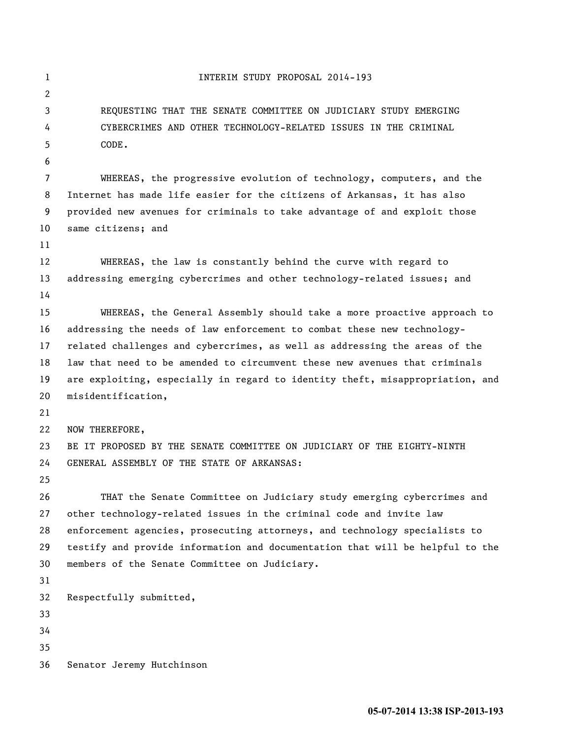```
1 INTERIM STUDY PROPOSAL 2014-193
 2
3 REQUESTING THAT THE SENATE COMMITTEE ON JUDICIARY STUDY EMERGING 
 4 CYBERCRIMES AND OTHER TECHNOLOGY-RELATED ISSUES IN THE CRIMINAL 
5 CODE.
 6
7 WHEREAS, the progressive evolution of technology, computers, and the 
8 Internet has made life easier for the citizens of Arkansas, it has also 
9 provided new avenues for criminals to take advantage of and exploit those 
10 same citizens; and
11
12 WHEREAS, the law is constantly behind the curve with regard to 
13 addressing emerging cybercrimes and other technology-related issues; and
14
15 WHEREAS, the General Assembly should take a more proactive approach to 
16 addressing the needs of law enforcement to combat these new technology-
17 related challenges and cybercrimes, as well as addressing the areas of the 
18 law that need to be amended to circumvent these new avenues that criminals 
19 are exploiting, especially in regard to identity theft, misappropriation, and 
20 misidentification,
21
22 NOW THEREFORE,
23 BE IT PROPOSED BY THE SENATE COMMITTEE ON JUDICIARY OF THE EIGHTY-NINTH 
24 GENERAL ASSEMBLY OF THE STATE OF ARKANSAS:
25
26 THAT the Senate Committee on Judiciary study emerging cybercrimes and 
27 other technology-related issues in the criminal code and invite law 
28 enforcement agencies, prosecuting attorneys, and technology specialists to 
29 testify and provide information and documentation that will be helpful to the 
30 members of the Senate Committee on Judiciary.
31
32 Respectfully submitted,
33
34
35
36 Senator Jeremy Hutchinson
```